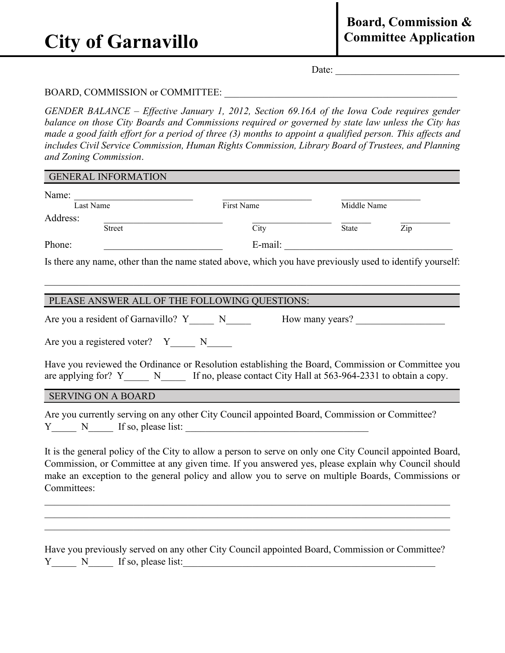# **City of Garnavillo**

Date:

## BOARD, COMMISSION or COMMITTEE:

*GENDER BALANCE – Effective January 1, 2012, Section 69.16A of the Iowa Code requires gender balance on those City Boards and Commissions required or governed by state law unless the City has made a good faith effort for a period of three (3) months to appoint a qualified person. This affects and includes Civil Service Commission, Human Rights Commission, Library Board of Trustees, and Planning and Zoning Commission*.

| Name:                                                                                                                                                                                                          |                            |                 |     |
|----------------------------------------------------------------------------------------------------------------------------------------------------------------------------------------------------------------|----------------------------|-----------------|-----|
| Last Name                                                                                                                                                                                                      | First Name                 | Middle Name     |     |
| Address:<br>Street                                                                                                                                                                                             | $\overline{\mathrm{City}}$ | State           | Zip |
| Phone:                                                                                                                                                                                                         |                            |                 |     |
|                                                                                                                                                                                                                |                            |                 |     |
| Is there any name, other than the name stated above, which you have previously used to identify yourself:                                                                                                      |                            |                 |     |
|                                                                                                                                                                                                                |                            |                 |     |
|                                                                                                                                                                                                                |                            |                 |     |
| PLEASE ANSWER ALL OF THE FOLLOWING QUESTIONS:                                                                                                                                                                  |                            |                 |     |
| Are you a resident of Garnavillo? Y_______ N______                                                                                                                                                             |                            | How many years? |     |
|                                                                                                                                                                                                                |                            |                 |     |
| Are you a registered voter? $Y_{\_\_\_N}$ N                                                                                                                                                                    |                            |                 |     |
| Have you reviewed the Ordinance or Resolution establishing the Board, Commission or Committee you                                                                                                              |                            |                 |     |
| <b>SERVING ON A BOARD</b>                                                                                                                                                                                      |                            |                 |     |
|                                                                                                                                                                                                                |                            |                 |     |
| Are you currently serving on any other City Council appointed Board, Commission or Committee?                                                                                                                  |                            |                 |     |
| $Y_$ $N$ If so, please list:                                                                                                                                                                                   |                            |                 |     |
|                                                                                                                                                                                                                |                            |                 |     |
| Commission, or Committee at any given time. If you answered yes, please explain why Council should                                                                                                             |                            |                 |     |
| It is the general policy of the City to allow a person to serve on only one City Council appointed Board,<br>make an exception to the general policy and allow you to serve on multiple Boards, Commissions or |                            |                 |     |
| Committees:                                                                                                                                                                                                    |                            |                 |     |
|                                                                                                                                                                                                                |                            |                 |     |
|                                                                                                                                                                                                                |                            |                 |     |

|  |                         | Have you previously served on any other City Council appointed Board, Commission or Committee? |
|--|-------------------------|------------------------------------------------------------------------------------------------|
|  | Y N If so, please list: |                                                                                                |